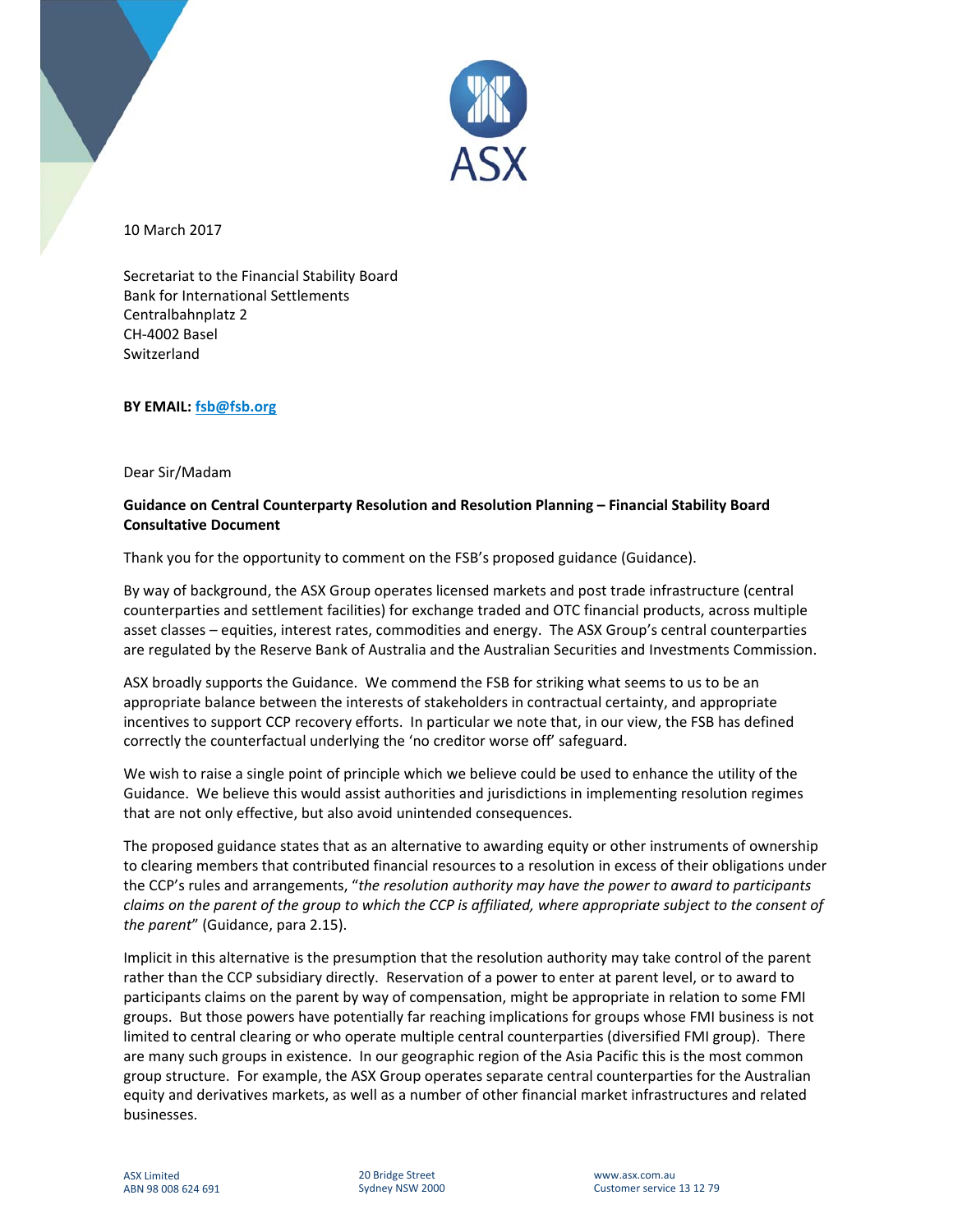

10 March 2017

Secretariat to the Financial Stability Board Bank for International Settlements Centralbahnplatz 2 CH‐4002 Basel Switzerland

**BY EMAIL: fsb@fsb.org**

Dear Sir/Madam

## **Guidance on Central Counterparty Resolution and Resolution Planning – Financial Stability Board Consultative Document**

Thank you for the opportunity to comment on the FSB's proposed guidance (Guidance).

By way of background, the ASX Group operates licensed markets and post trade infrastructure (central counterparties and settlement facilities) for exchange traded and OTC financial products, across multiple asset classes – equities, interest rates, commodities and energy. The ASX Group's central counterparties are regulated by the Reserve Bank of Australia and the Australian Securities and Investments Commission.

ASX broadly supports the Guidance. We commend the FSB for striking what seems to us to be an appropriate balance between the interests of stakeholders in contractual certainty, and appropriate incentives to support CCP recovery efforts. In particular we note that, in our view, the FSB has defined correctly the counterfactual underlying the 'no creditor worse off' safeguard.

We wish to raise a single point of principle which we believe could be used to enhance the utility of the Guidance. We believe this would assist authorities and jurisdictions in implementing resolution regimes that are not only effective, but also avoid unintended consequences.

The proposed guidance states that as an alternative to awarding equity or other instruments of ownership to clearing members that contributed financial resources to a resolution in excess of their obligations under the CCP's rules and arrangements, "*the resolution authority may have the power to award to participants* claims on the parent of the group to which the CCP is affiliated, where appropriate subject to the consent of *the parent*" (Guidance, para 2.15).

Implicit in this alternative is the presumption that the resolution authority may take control of the parent rather than the CCP subsidiary directly. Reservation of a power to enter at parent level, or to award to participants claims on the parent by way of compensation, might be appropriate in relation to some FMI groups. But those powers have potentially far reaching implications for groups whose FMI business is not limited to central clearing or who operate multiple central counterparties (diversified FMI group). There are many such groups in existence. In our geographic region of the Asia Pacific this is the most common group structure. For example, the ASX Group operates separate central counterparties for the Australian equity and derivatives markets, as well as a number of other financial market infrastructures and related businesses.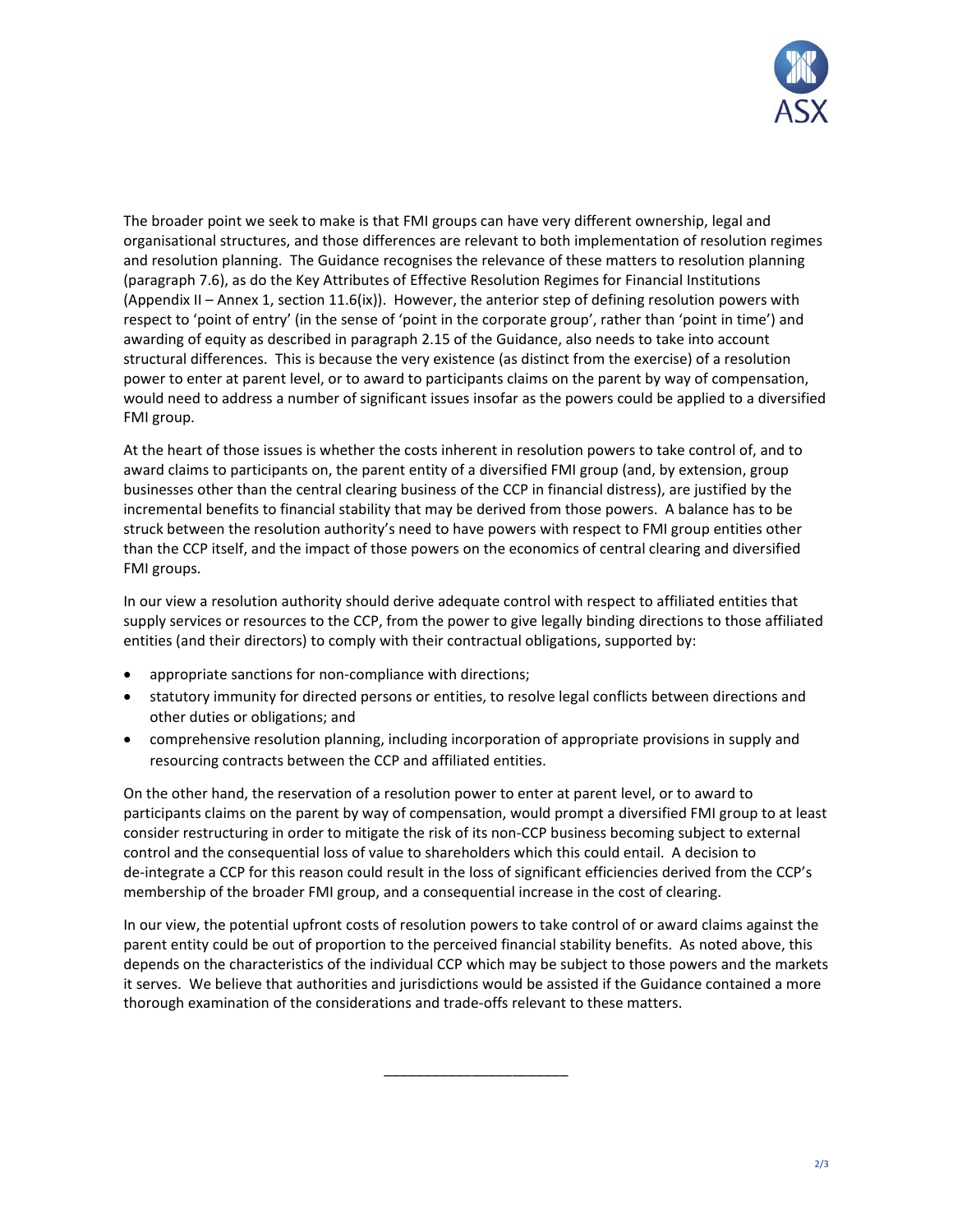

The broader point we seek to make is that FMI groups can have very different ownership, legal and organisational structures, and those differences are relevant to both implementation of resolution regimes and resolution planning. The Guidance recognises the relevance of these matters to resolution planning (paragraph 7.6), as do the Key Attributes of Effective Resolution Regimes for Financial Institutions (Appendix II – Annex 1, section 11.6(ix)). However, the anterior step of defining resolution powers with respect to 'point of entry' (in the sense of 'point in the corporate group', rather than 'point in time') and awarding of equity as described in paragraph 2.15 of the Guidance, also needs to take into account structural differences. This is because the very existence (as distinct from the exercise) of a resolution power to enter at parent level, or to award to participants claims on the parent by way of compensation, would need to address a number of significant issues insofar as the powers could be applied to a diversified FMI group.

At the heart of those issues is whether the costs inherent in resolution powers to take control of, and to award claims to participants on, the parent entity of a diversified FMI group (and, by extension, group businesses other than the central clearing business of the CCP in financial distress), are justified by the incremental benefits to financial stability that may be derived from those powers. A balance has to be struck between the resolution authority's need to have powers with respect to FMI group entities other than the CCP itself, and the impact of those powers on the economics of central clearing and diversified FMI groups.

In our view a resolution authority should derive adequate control with respect to affiliated entities that supply services or resources to the CCP, from the power to give legally binding directions to those affiliated entities (and their directors) to comply with their contractual obligations, supported by:

- appropriate sanctions for non‐compliance with directions;
- statutory immunity for directed persons or entities, to resolve legal conflicts between directions and other duties or obligations; and
- comprehensive resolution planning, including incorporation of appropriate provisions in supply and resourcing contracts between the CCP and affiliated entities.

On the other hand, the reservation of a resolution power to enter at parent level, or to award to participants claims on the parent by way of compensation, would prompt a diversified FMI group to at least consider restructuring in order to mitigate the risk of its non‐CCP business becoming subject to external control and the consequential loss of value to shareholders which this could entail. A decision to de‐integrate a CCP for this reason could result in the loss of significant efficiencies derived from the CCP's membership of the broader FMI group, and a consequential increase in the cost of clearing.

In our view, the potential upfront costs of resolution powers to take control of or award claims against the parent entity could be out of proportion to the perceived financial stability benefits. As noted above, this depends on the characteristics of the individual CCP which may be subject to those powers and the markets it serves. We believe that authorities and jurisdictions would be assisted if the Guidance contained a more thorough examination of the considerations and trade‐offs relevant to these matters.

\_\_\_\_\_\_\_\_\_\_\_\_\_\_\_\_\_\_\_\_\_\_\_